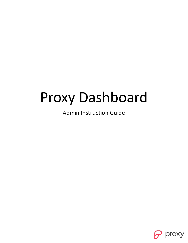# Proxy Dashboard

Admin Instruction Guide

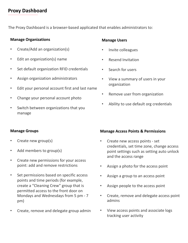# **Proxy Dashboard**

The Proxy Dashboard is a browser-based applicated that enables administrators to:

# **Manage Organizations**

- Create/Add an organization(s)
- Edit an organization(s) name
- Set default organization RFID credentials
- Assign organization administrators
- Edit your personal account first and last name
- Change your personal account photo
- Switch between organizations that you manage

# **Manage Groups**

- Create new group(s)
- Add members to group(s)
- Create new permissions for your access point: add and remove restrictions
- Set permissions based on specific access points and time periods (for example, create a "Cleaning Crew" group that is permitted access to the front door on Mondays and Wednesdays from 5 pm - 7 pm)
- Create, remove and delegate group admin

# **Manage Users**

- Invite colleagues
- Resend Invitation
- Search for users
- View a summary of users in your organization
- Remove user from organization
- Ability to use default org credentials

# **Manage Access Points & Permissions**

- Create new access points set credentials, set time zone, change access point settings such as setting auto unlock and the access range
- Assign a photo for the access point
- Assign a group to an access point
- Assign people to the access point
- Create, remove and delegate access point admins
- View access points and associate logs tracking user activity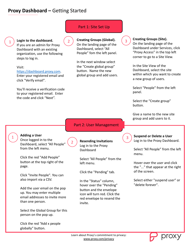# **Proxy Dashboard –** Getting Started

1 **Login to the dashboard.** If you are an admin for Proxy Dashboard with an existing organization, use the following steps to log in.

Visit:

[https://dashboard.proxy.com.](https://dashboard.proxy.com/)

Enter your registered email and click "Verify email".

You'll receive a verification code to your registered email. Enter the code and click "Next".

# Part 1: Site Set Up

**Creating Groups (Global).**

2

On the landing page of the Dashboard, select "All People" fom the left panel.

In the next window select the "Create global group" button. Name the new global group and add users.

### **Creating Groups (Site).**

On the landing page of the Dashboard under Services, click "Proxy Access" in the top left corner to go to a Site View.

In the Site View of the Dashboard, select the site within which you want to create a new group of users.

Select "People" from the left panel.

Select the "Create group" button.

Give a name to the new site group and add users to it.

### **Adding a User**

1

Once logged in to the Dashboard, select "All People" from the left menu.

Click the red "Add People" button at the top right of the page.

Click "Invite People". You can also import via a CSV.

Add the user email on the pop up. You may enter multiple email addresses to invite more than one person.

Select the Global Group for this person on the pop up.

Click the red "Add x people globally" button.

2

**Resending Invitations** Log in to the Proxy Dashboard

Part 2: User Management

Select "All People" from the left menu.

Click the "Pending" tab.

In the "Status" column, hover over the "Pending" button and the envelope icon will turn red. Click the red envelope to resend the invite.

3

3

**Suspend or Delete a User** Log in to the Proxy Dashboard.

Select "All People" from the left menu.

Hover over the user and click the "..." that appear at the right of the screen.

Select either "suspend user" or "delete forever".